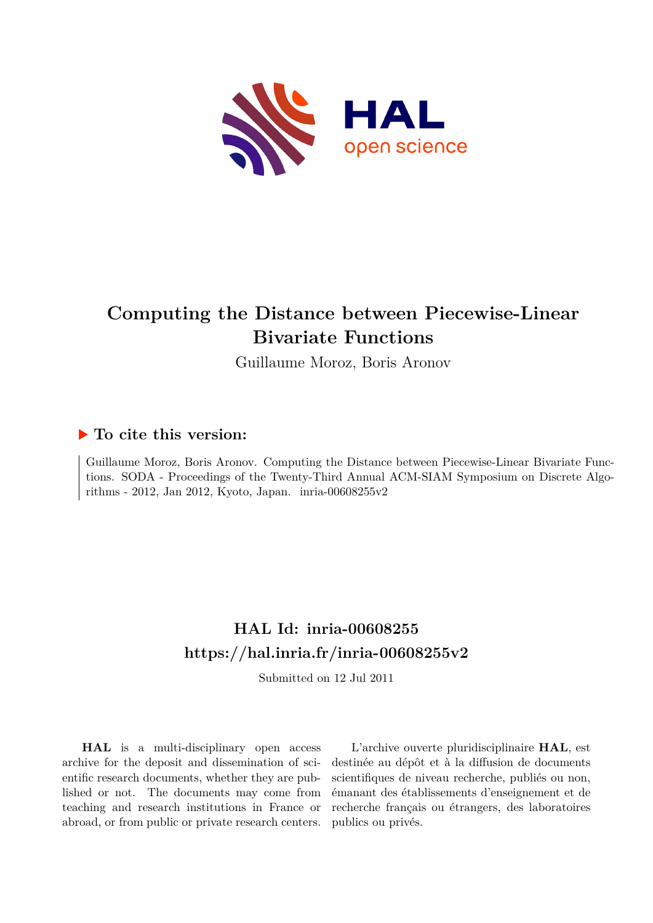

# **Computing the Distance between Piecewise-Linear Bivariate Functions**

Guillaume Moroz, Boris Aronov

# **To cite this version:**

Guillaume Moroz, Boris Aronov. Computing the Distance between Piecewise-Linear Bivariate Functions. SODA - Proceedings of the Twenty-Third Annual ACM-SIAM Symposium on Discrete Algorithms - 2012, Jan 2012, Kyoto, Japan. inria-00608255v2

# **HAL Id: inria-00608255 <https://hal.inria.fr/inria-00608255v2>**

Submitted on 12 Jul 2011

**HAL** is a multi-disciplinary open access archive for the deposit and dissemination of scientific research documents, whether they are published or not. The documents may come from teaching and research institutions in France or abroad, or from public or private research centers.

L'archive ouverte pluridisciplinaire **HAL**, est destinée au dépôt et à la diffusion de documents scientifiques de niveau recherche, publiés ou non, émanant des établissements d'enseignement et de recherche français ou étrangers, des laboratoires publics ou privés.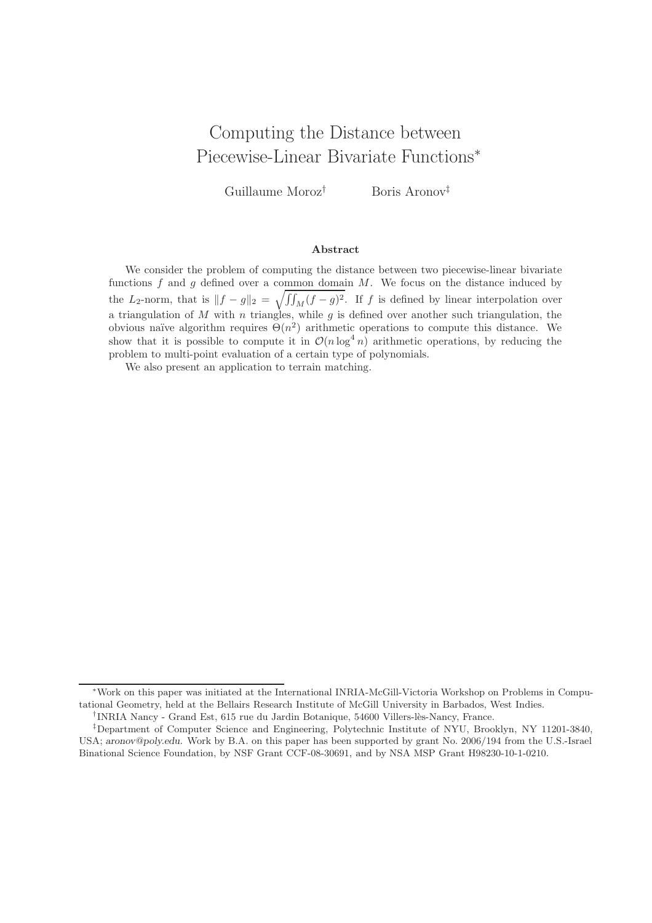# Computing the Distance between Piecewise-Linear Bivariate Functions<sup>∗</sup>

Guillaume Moroz† Boris Aronov‡

### Abstract

We consider the problem of computing the distance between two piecewise-linear bivariate functions  $f$  and  $g$  defined over a common domain  $M$ . We focus on the distance induced by the L<sub>2</sub>-norm, that is  $||f - g||_2 = \sqrt{\int \int_M (f - g)^2}$ . If f is defined by linear interpolation over a triangulation of M with n triangles, while  $g$  is defined over another such triangulation, the obvious naïve algorithm requires  $\Theta(n^2)$  arithmetic operations to compute this distance. We show that it is possible to compute it in  $\mathcal{O}(n \log^4 n)$  arithmetic operations, by reducing the problem to multi-point evaluation of a certain type of polynomials.

We also present an application to terrain matching.

<sup>∗</sup>Work on this paper was initiated at the International INRIA-McGill-Victoria Workshop on Problems in Computational Geometry, held at the Bellairs Research Institute of McGill University in Barbados, West Indies.

<sup>&</sup>lt;sup>†</sup>INRIA Nancy - Grand Est, 615 rue du Jardin Botanique, 54600 Villers-lès-Nancy, France.

<sup>‡</sup>Department of Computer Science and Engineering, Polytechnic Institute of NYU, Brooklyn, NY 11201-3840, USA; aronov@poly.edu. Work by B.A. on this paper has been supported by grant No. 2006/194 from the U.S.-Israel Binational Science Foundation, by NSF Grant CCF-08-30691, and by NSA MSP Grant H98230-10-1-0210.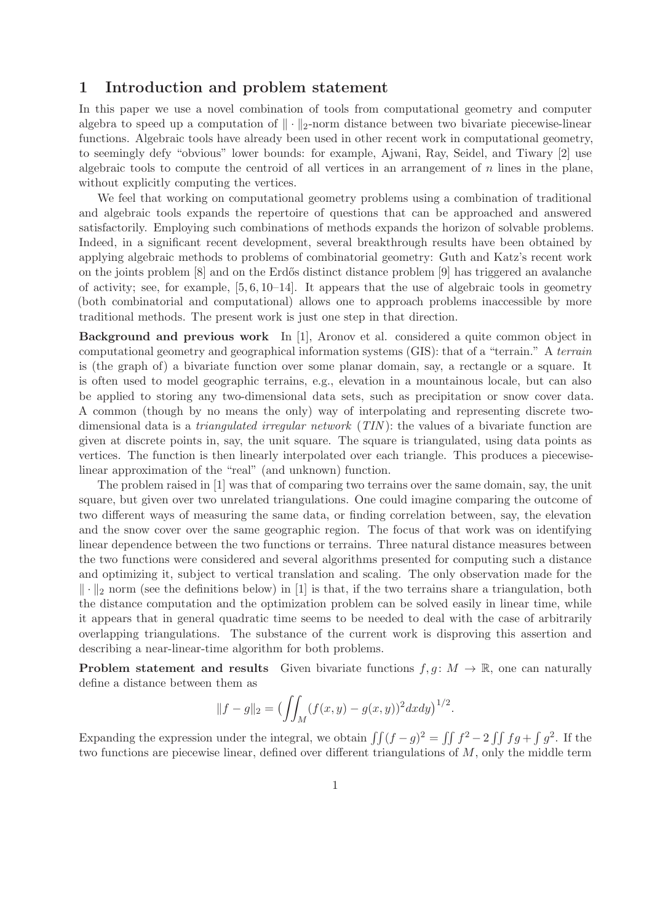## 1 Introduction and problem statement

In this paper we use a novel combination of tools from computational geometry and computer algebra to speed up a computation of  $\|\cdot\|_2$ -norm distance between two bivariate piecewise-linear functions. Algebraic tools have already been used in other recent work in computational geometry, to seemingly defy "obvious" lower bounds: for example, Ajwani, Ray, Seidel, and Tiwary [2] use algebraic tools to compute the centroid of all vertices in an arrangement of  $n$  lines in the plane, without explicitly computing the vertices.

We feel that working on computational geometry problems using a combination of traditional and algebraic tools expands the repertoire of questions that can be approached and answered satisfactorily. Employing such combinations of methods expands the horizon of solvable problems. Indeed, in a significant recent development, several breakthrough results have been obtained by applying algebraic methods to problems of combinatorial geometry: Guth and Katz's recent work on the joints problem [8] and on the Erdős distinct distance problem [9] has triggered an avalanche of activity; see, for example,  $[5, 6, 10-14]$ . It appears that the use of algebraic tools in geometry (both combinatorial and computational) allows one to approach problems inaccessible by more traditional methods. The present work is just one step in that direction.

Background and previous work In [1], Aronov et al. considered a quite common object in computational geometry and geographical information systems (GIS): that of a "terrain." A terrain is (the graph of) a bivariate function over some planar domain, say, a rectangle or a square. It is often used to model geographic terrains, e.g., elevation in a mountainous locale, but can also be applied to storing any two-dimensional data sets, such as precipitation or snow cover data. A common (though by no means the only) way of interpolating and representing discrete twodimensional data is a *triangulated irregular network* (TIN): the values of a bivariate function are given at discrete points in, say, the unit square. The square is triangulated, using data points as vertices. The function is then linearly interpolated over each triangle. This produces a piecewiselinear approximation of the "real" (and unknown) function.

The problem raised in [1] was that of comparing two terrains over the same domain, say, the unit square, but given over two unrelated triangulations. One could imagine comparing the outcome of two different ways of measuring the same data, or finding correlation between, say, the elevation and the snow cover over the same geographic region. The focus of that work was on identifying linear dependence between the two functions or terrains. Three natural distance measures between the two functions were considered and several algorithms presented for computing such a distance and optimizing it, subject to vertical translation and scaling. The only observation made for the  $\|\cdot\|_2$  norm (see the definitions below) in [1] is that, if the two terrains share a triangulation, both the distance computation and the optimization problem can be solved easily in linear time, while it appears that in general quadratic time seems to be needed to deal with the case of arbitrarily overlapping triangulations. The substance of the current work is disproving this assertion and describing a near-linear-time algorithm for both problems.

**Problem statement and results** Given bivariate functions  $f, g \colon M \to \mathbb{R}$ , one can naturally define a distance between them as

$$
||f - g||_2 = \bigl(\iint_M (f(x, y) - g(x, y))^2 dx dy\bigr)^{1/2}.
$$

Expanding the expression under the integral, we obtain  $\iint (f - g)^2 = \iint f^2 - 2 \iint f g + \int g^2$ . If the two functions are piecewise linear, defined over different triangulations of  $M$ , only the middle term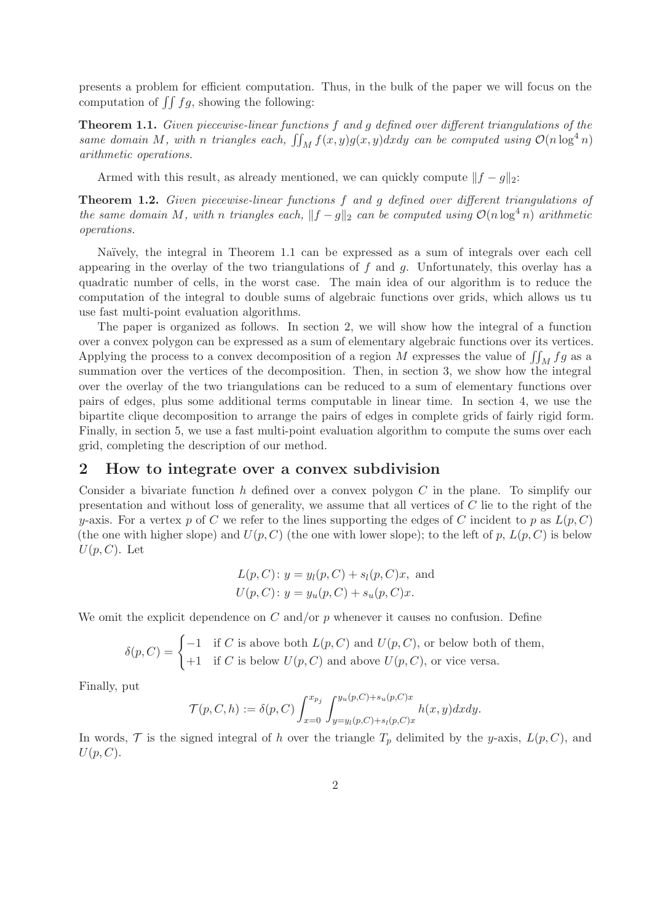presents a problem for efficient computation. Thus, in the bulk of the paper we will focus on the computation of  $\iint fg$ , showing the following:

Theorem 1.1. Given piecewise-linear functions f and g defined over different triangulations of the same domain M, with n triangles each,  $\iint_M f(x, y)g(x, y)dxdy$  can be computed using  $\mathcal{O}(n \log^4 n)$ arithmetic operations.

Armed with this result, as already mentioned, we can quickly compute  $||f - g||_2$ :

Theorem 1.2. Given piecewise-linear functions f and g defined over different triangulations of the same domain M, with n triangles each,  $||f - g||_2$  can be computed using  $\mathcal{O}(n \log^4 n)$  arithmetic operations.

Naïvely, the integral in Theorem 1.1 can be expressed as a sum of integrals over each cell appearing in the overlay of the two triangulations of  $f$  and  $g$ . Unfortunately, this overlay has a quadratic number of cells, in the worst case. The main idea of our algorithm is to reduce the computation of the integral to double sums of algebraic functions over grids, which allows us tu use fast multi-point evaluation algorithms.

The paper is organized as follows. In section 2, we will show how the integral of a function over a convex polygon can be expressed as a sum of elementary algebraic functions over its vertices. Applying the process to a convex decomposition of a region  $M$  expresses the value of  $\iint_M fg$  as a summation over the vertices of the decomposition. Then, in section 3, we show how the integral over the overlay of the two triangulations can be reduced to a sum of elementary functions over pairs of edges, plus some additional terms computable in linear time. In section 4, we use the bipartite clique decomposition to arrange the pairs of edges in complete grids of fairly rigid form. Finally, in section 5, we use a fast multi-point evaluation algorithm to compute the sums over each grid, completing the description of our method.

### 2 How to integrate over a convex subdivision

Consider a bivariate function h defined over a convex polygon  $C$  in the plane. To simplify our presentation and without loss of generality, we assume that all vertices of C lie to the right of the y-axis. For a vertex p of C we refer to the lines supporting the edges of C incident to p as  $L(p, C)$ (the one with higher slope) and  $U(p, C)$  (the one with lower slope); to the left of p,  $L(p, C)$  is below  $U(p, C)$ . Let

$$
L(p, C): y = y_l(p, C) + s_l(p, C)x
$$
, and  
\n $U(p, C): y = y_u(p, C) + s_u(p, C)x$ .

We omit the explicit dependence on  $C$  and/or  $p$  whenever it causes no confusion. Define

$$
\delta(p, C) = \begin{cases}\n-1 & \text{if } C \text{ is above both } L(p, C) \text{ and } U(p, C), \text{ or below both of them,} \\
+1 & \text{if } C \text{ is below } U(p, C) \text{ and above } U(p, C), \text{ or vice versa.}\n\end{cases}
$$

Finally, put

$$
\mathcal{T}(p, C, h) := \delta(p, C) \int_{x=0}^{x_{p_j}} \int_{y=y_l(p, C)+s_l(p, C)x}^{y_u(p, C)+s_u(p, C)x} h(x, y) dx dy.
$$

In words,  $\mathcal T$  is the signed integral of h over the triangle  $T_p$  delimited by the y-axis,  $L(p, C)$ , and  $U(p, C)$ .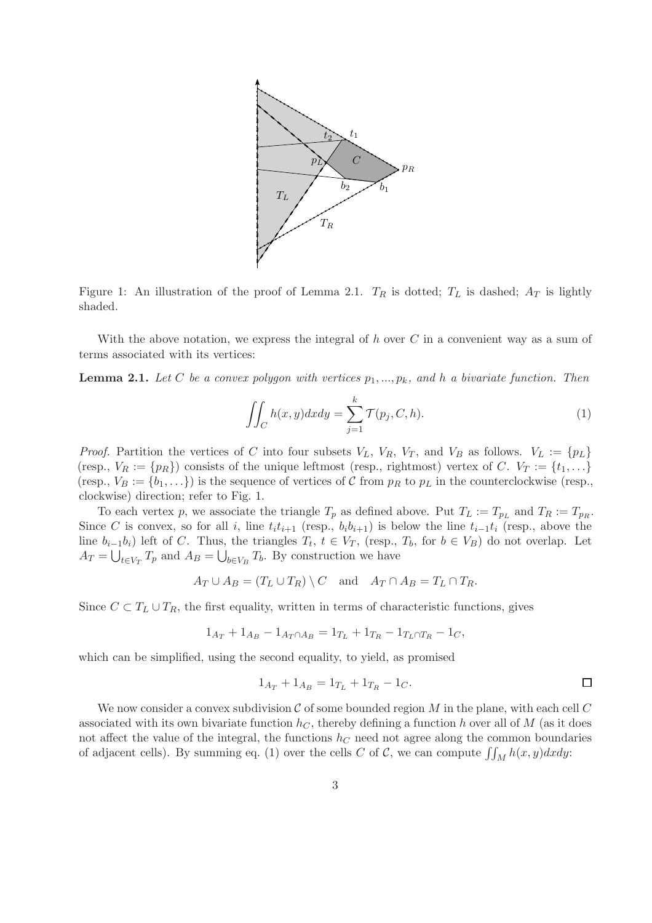

Figure 1: An illustration of the proof of Lemma 2.1.  $T_R$  is dotted;  $T_L$  is dashed;  $A_T$  is lightly shaded.

With the above notation, we express the integral of  $h$  over  $C$  in a convenient way as a sum of terms associated with its vertices:

**Lemma 2.1.** Let C be a convex polygon with vertices  $p_1, ..., p_k$ , and h a bivariate function. Then

$$
\iint_C h(x, y) dx dy = \sum_{j=1}^k \mathcal{T}(p_j, C, h). \tag{1}
$$

*Proof.* Partition the vertices of C into four subsets  $V_L$ ,  $V_R$ ,  $V_T$ , and  $V_B$  as follows.  $V_L := \{p_L\}$ (resp.,  $V_R := \{p_R\}$ ) consists of the unique leftmost (resp., rightmost) vertex of C.  $V_T := \{t_1, \ldots\}$ (resp.,  $V_B := \{b_1, ...\}$ ) is the sequence of vertices of C from  $p_R$  to  $p_L$  in the counterclockwise (resp., clockwise) direction; refer to Fig. 1.

To each vertex p, we associate the triangle  $T_p$  as defined above. Put  $T_L := T_{p_L}$  and  $T_R := T_{p_R}$ . Since C is convex, so for all i, line  $t<sub>i</sub>t<sub>i+1</sub>$  (resp.,  $b<sub>i</sub>b<sub>i+1</sub>$ ) is below the line  $t<sub>i-1</sub>t<sub>i</sub>$  (resp., above the line  $b_{i-1}b_i$ ) left of C. Thus, the triangles  $T_t$ ,  $t \in V_T$ , (resp.,  $T_b$ , for  $b \in V_B$ ) do not overlap. Let  $A_T = \bigcup_{t \in V_T} T_p$  and  $A_B = \bigcup_{b \in V_B} T_b$ . By construction we have

$$
A_T \cup A_B = (T_L \cup T_R) \setminus C
$$
 and  $A_T \cap A_B = T_L \cap T_R$ .

Since  $C \subset T_L \cup T_R$ , the first equality, written in terms of characteristic functions, gives

$$
1_{A_T} + 1_{A_B} - 1_{A_T \cap A_B} = 1_{T_L} + 1_{T_R} - 1_{T_L \cap T_R} - 1_C,
$$

which can be simplified, using the second equality, to yield, as promised

$$
1_{A_T} + 1_{A_B} = 1_{T_L} + 1_{T_R} - 1_C.
$$

We now consider a convex subdivision C of some bounded region M in the plane, with each cell C associated with its own bivariate function  $h<sub>C</sub>$ , thereby defining a function h over all of M (as it does not affect the value of the integral, the functions  $h<sub>C</sub>$  need not agree along the common boundaries of adjacent cells). By summing eq. (1) over the cells C of C, we can compute  $\iint_M h(x, y)dxdy$ :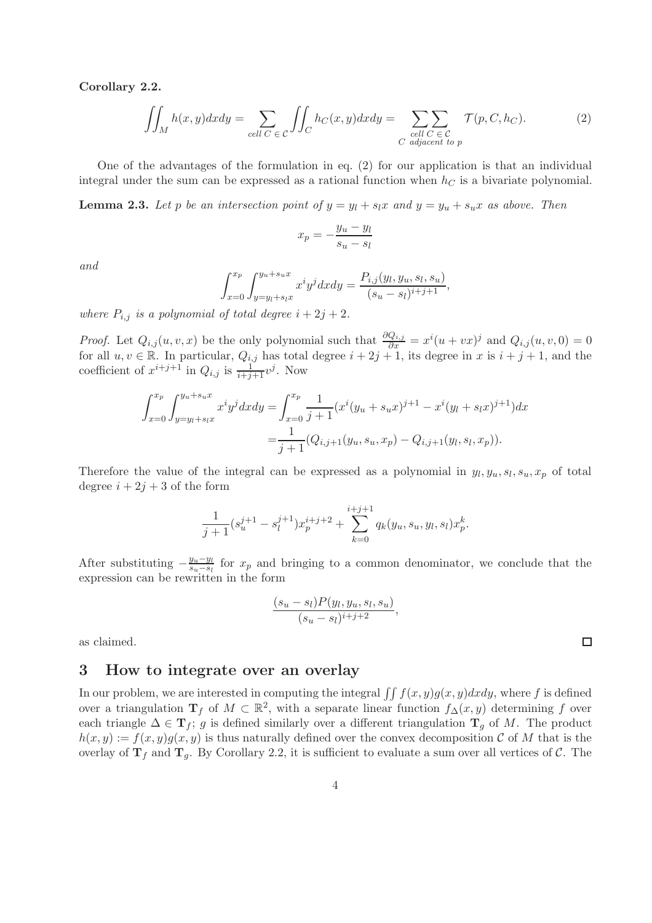Corollary 2.2.

$$
\iint_M h(x,y)dxdy = \sum_{cell \ C \in \ C} \iint_C h_C(x,y)dxdy = \sum_{\substack{cell \ C \in \ C \\ C \text{ adjacent to } p}} \mathcal{T}(p,C,h_C). \tag{2}
$$

One of the advantages of the formulation in eq. (2) for our application is that an individual integral under the sum can be expressed as a rational function when  $h<sub>C</sub>$  is a bivariate polynomial.

**Lemma 2.3.** Let p be an intersection point of  $y = y_l + s_lx$  and  $y = y_u + s_ux$  as above. Then

$$
x_p = -\frac{y_u - y_l}{s_u - s_l}
$$

and

$$
\int_{x=0}^{x_p} \int_{y=y_l+s_lx}^{y_u+s_ux} x^i y^j dx dy = \frac{P_{i,j}(y_l, y_u, s_l, s_u)}{(s_u-s_l)^{i+j+1}},
$$

where  $P_{i,j}$  is a polynomial of total degree  $i + 2j + 2$ .

*Proof.* Let  $Q_{i,j}(u, v, x)$  be the only polynomial such that  $\frac{\partial Q_{i,j}}{\partial x} = x^i(u + vx)^j$  and  $Q_{i,j}(u, v, 0) = 0$ for all  $u, v \in \mathbb{R}$ . In particular,  $Q_{i,j}$  has total degree  $i + 2j + 1$ , its degree in x is  $i + j + 1$ , and the coefficient of  $x^{i+j+1}$  in  $Q_{i,j}$  is  $\frac{1}{i+j+1}v^j$ . Now

$$
\int_{x=0}^{x_p} \int_{y=y_l+s_lx}^{y_u+s_ux} x^i y^j dx dy = \int_{x=0}^{x_p} \frac{1}{j+1} (x^i (y_u+s_u x)^{j+1} - x^i (y_l+s_l x)^{j+1}) dx
$$

$$
= \frac{1}{j+1} (Q_{i,j+1}(y_u,s_u,x_p) - Q_{i,j+1}(y_l,s_l,x_p)).
$$

Therefore the value of the integral can be expressed as a polynomial in  $y_l, y_u, s_l, s_u, x_p$  of total degree  $i + 2j + 3$  of the form

$$
\frac{1}{j+1}(s_u^{j+1} - s_l^{j+1})x_p^{i+j+2} + \sum_{k=0}^{i+j+1} q_k(y_u, s_u, y_l, s_l)x_p^k.
$$

After substituting  $-\frac{y_u-y_l}{s_u-s_l}$  $\frac{y_u-y_l}{s_u-s_l}$  for  $x_p$  and bringing to a common denominator, we conclude that the expression can be rewritten in the form

$$
\frac{(s_u-s_l)P(y_l,y_u,s_l,s_u)}{(s_u-s_l)^{i+j+2}},
$$

as claimed.

## 3 How to integrate over an overlay

In our problem, we are interested in computing the integral  $\iint f(x, y)g(x, y)dxdy$ , where f is defined over a triangulation  $\mathbf{T}_f$  of  $M \subset \mathbb{R}^2$ , with a separate linear function  $f_{\Delta}(x, y)$  determining f over each triangle  $\Delta \in \mathbf{T}_f$ ; g is defined similarly over a different triangulation  $\mathbf{T}_q$  of M. The product  $h(x, y) := f(x, y)g(x, y)$  is thus naturally defined over the convex decomposition C of M that is the overlay of  $T_f$  and  $T_g$ . By Corollary 2.2, it is sufficient to evaluate a sum over all vertices of C. The

 $\Box$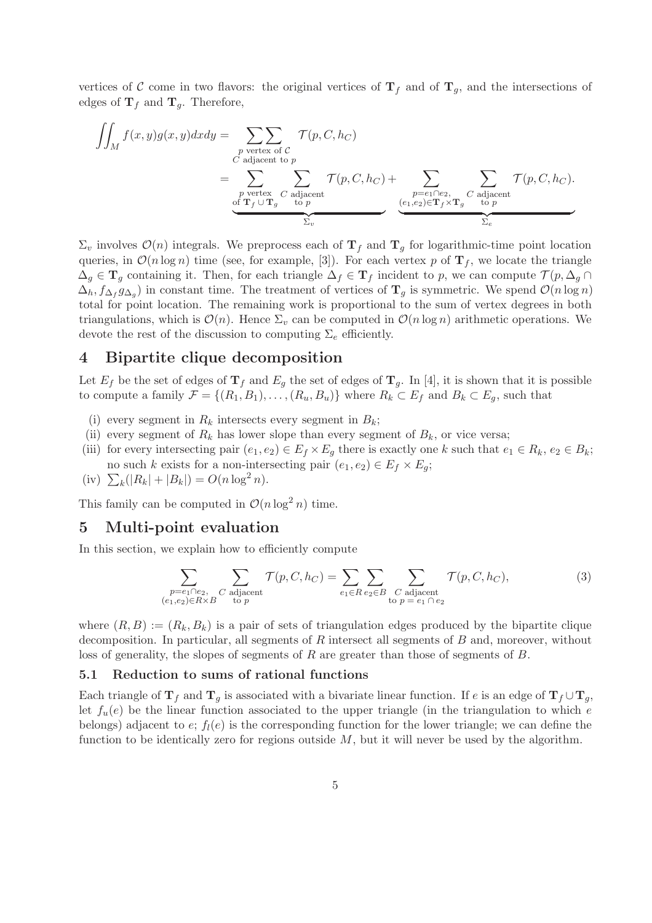vertices of C come in two flavors: the original vertices of  $T_f$  and of  $T_g$ , and the intersections of edges of  $\mathbf{T}_f$  and  $\mathbf{T}_g$ . Therefore,

$$
\iint_M f(x,y)g(x,y)dxdy = \sum_{\substack{p \text{ vertex of } C \\ C \text{ adjacent to } p}} \mathcal{T}(p,C,h_C)
$$
\n
$$
= \sum_{\substack{p \text{ vertex } C \\ \text{of } \mathbf{T}_f \cup \mathbf{T}_g}} \sum_{\substack{L \text{ adjacent} \\ \text{to } p}} \mathcal{T}(p,C,h_C) + \sum_{\substack{p=e_1 \cap e_2, \\ (e_1,e_2) \in \mathbf{T}_f \times \mathbf{T}_g}} \sum_{\substack{L \text{ adjacent} \\ \text{to } p}} \mathcal{T}(p,C,h_C).
$$

 $\Sigma_v$  involves  $\mathcal{O}(n)$  integrals. We preprocess each of  $\mathbf{T}_f$  and  $\mathbf{T}_g$  for logarithmic-time point location queries, in  $\mathcal{O}(n \log n)$  time (see, for example, [3]). For each vertex p of  $\mathbf{T}_f$ , we locate the triangle  $\Delta_q \in \mathbf{T}_q$  containing it. Then, for each triangle  $\Delta_f \in \mathbf{T}_f$  incident to p, we can compute  $\mathcal{T}(p, \Delta_q \cap \mathcal{C})$  $\Delta_h$ ,  $f_{\Delta_f}g_{\Delta_g}$ ) in constant time. The treatment of vertices of  $\mathbf{T}_g$  is symmetric. We spend  $\mathcal{O}(n \log n)$ total for point location. The remaining work is proportional to the sum of vertex degrees in both triangulations, which is  $\mathcal{O}(n)$ . Hence  $\Sigma_v$  can be computed in  $\mathcal{O}(n \log n)$  arithmetic operations. We devote the rest of the discussion to computing  $\Sigma_e$  efficiently.

# 4 Bipartite clique decomposition

Let  $E_f$  be the set of edges of  $\mathbf{T}_f$  and  $E_g$  the set of edges of  $\mathbf{T}_g$ . In [4], it is shown that it is possible to compute a family  $\mathcal{F} = \{(R_1, B_1), \ldots, (R_u, B_u)\}\$  where  $R_k \subset E_f$  and  $B_k \subset E_g$ , such that

- (i) every segment in  $R_k$  intersects every segment in  $B_k$ ;
- (ii) every segment of  $R_k$  has lower slope than every segment of  $B_k$ , or vice versa;
- (iii) for every intersecting pair  $(e_1, e_2) \in E_f \times E_q$  there is exactly one k such that  $e_1 \in R_k$ ,  $e_2 \in B_k$ ; no such k exists for a non-intersecting pair  $(e_1, e_2) \in E_f \times E_q$ ;
- (iv)  $\sum_{k} (|R_{k}| + |B_{k}|) = O(n \log^{2} n).$

This family can be computed in  $\mathcal{O}(n \log^2 n)$  time.

## 5 Multi-point evaluation

In this section, we explain how to efficiently compute

$$
\sum_{\substack{p=e_1 \cap e_2, \ C \text{ adjacent} \\ (e_1,e_2) \in R \times B}} \sum_{\substack{C \text{ adjacent} \\ C \text{ to } p}} \mathcal{T}(p,C,h_C) = \sum_{e_1 \in R} \sum_{e_2 \in B} \sum_{\substack{C \text{ adjacent} \\ C \text{ to } p=e_1 \cap e_2}} \mathcal{T}(p,C,h_C), \tag{3}
$$

where  $(R, B) := (R_k, B_k)$  is a pair of sets of triangulation edges produced by the bipartite clique decomposition. In particular, all segments of  $R$  intersect all segments of  $B$  and, moreover, without loss of generality, the slopes of segments of R are greater than those of segments of B.

### 5.1 Reduction to sums of rational functions

Each triangle of  $\mathbf{T}_f$  and  $\mathbf{T}_g$  is associated with a bivariate linear function. If e is an edge of  $\mathbf{T}_f \cup \mathbf{T}_g$ , let  $f_u(e)$  be the linear function associated to the upper triangle (in the triangulation to which e belongs) adjacent to  $e$ ;  $f_l(e)$  is the corresponding function for the lower triangle; we can define the function to be identically zero for regions outside  $M$ , but it will never be used by the algorithm.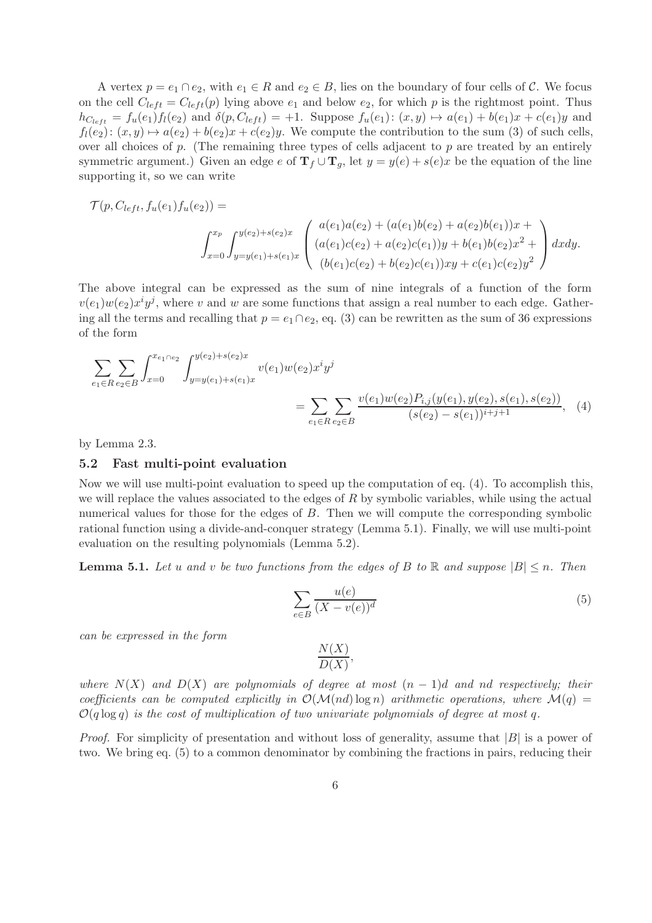A vertex  $p = e_1 \cap e_2$ , with  $e_1 \in R$  and  $e_2 \in B$ , lies on the boundary of four cells of C. We focus on the cell  $C_{left} = C_{left}(p)$  lying above  $e_1$  and below  $e_2$ , for which p is the rightmost point. Thus  $h_{C_{left}} = f_u(e_1) f_l(e_2)$  and  $\delta(p, C_{left}) = +1$ . Suppose  $f_u(e_1): (x, y) \mapsto a(e_1) + b(e_1)x + c(e_1)y$  and  $f_l(e_2): (x, y) \mapsto a(e_2) + b(e_2)x + c(e_2)y$ . We compute the contribution to the sum (3) of such cells, over all choices of  $p$ . (The remaining three types of cells adjacent to  $p$  are treated by an entirely symmetric argument.) Given an edge e of  $T_f \cup T_g$ , let  $y = y(e) + s(e)x$  be the equation of the line supporting it, so we can write

$$
\mathcal{T}(p, C_{left}, f_u(e_1)f_u(e_2)) =
$$
\n
$$
\int_{x=0}^{x_p} \int_{y=y(e_1)+s(e_1)x}^{y(e_2)+s(e_2)x} \begin{pmatrix} a(e_1)a(e_2) + (a(e_1)b(e_2) + a(e_2)b(e_1))x + \\ (a(e_1)c(e_2) + a(e_2)c(e_1))y + b(e_1)b(e_2)x^2 + \\ (b(e_1)c(e_2) + b(e_2)c(e_1))xy + c(e_1)c(e_2)y^2 \end{pmatrix} dx dy.
$$

The above integral can be expressed as the sum of nine integrals of a function of the form  $v(e_1)w(e_2)x^i y^j$ , where v and w are some functions that assign a real number to each edge. Gathering all the terms and recalling that  $p = e_1 \cap e_2$ , eq. (3) can be rewritten as the sum of 36 expressions of the form

$$
\sum_{e_1 \in R} \sum_{e_2 \in B} \int_{x=0}^{x_{e_1 \cap e_2}} \int_{y=y(e_1)+s(e_1)x}^{y(e_2)+s(e_2)x} v(e_1)w(e_2)x^i y^j = \sum_{e_1 \in R} \sum_{e_2 \in B} \frac{v(e_1)w(e_2)P_{i,j}(y(e_1), y(e_2), s(e_1), s(e_2))}{(s(e_2) - s(e_1))^{i+j+1}}, \quad (4)
$$

by Lemma 2.3.

#### 5.2 Fast multi-point evaluation

Now we will use multi-point evaluation to speed up the computation of eq. (4). To accomplish this, we will replace the values associated to the edges of  $R$  by symbolic variables, while using the actual numerical values for those for the edges of  $B$ . Then we will compute the corresponding symbolic rational function using a divide-and-conquer strategy (Lemma 5.1). Finally, we will use multi-point evaluation on the resulting polynomials (Lemma 5.2).

**Lemma 5.1.** Let u and v be two functions from the edges of B to R and suppose  $|B| \leq n$ . Then

$$
\sum_{e \in B} \frac{u(e)}{(X - v(e))^d} \tag{5}
$$

can be expressed in the form

$$
\frac{N(X)}{D(X)}
$$

,

where  $N(X)$  and  $D(X)$  are polynomials of degree at most  $(n-1)d$  and nd respectively; their coefficients can be computed explicitly in  $\mathcal{O}(\mathcal{M}(nd) \log n)$  arithmetic operations, where  $\mathcal{M}(q)$  =  $O(q \log q)$  is the cost of multiplication of two univariate polynomials of degree at most q.

*Proof.* For simplicity of presentation and without loss of generality, assume that  $|B|$  is a power of two. We bring eq. (5) to a common denominator by combining the fractions in pairs, reducing their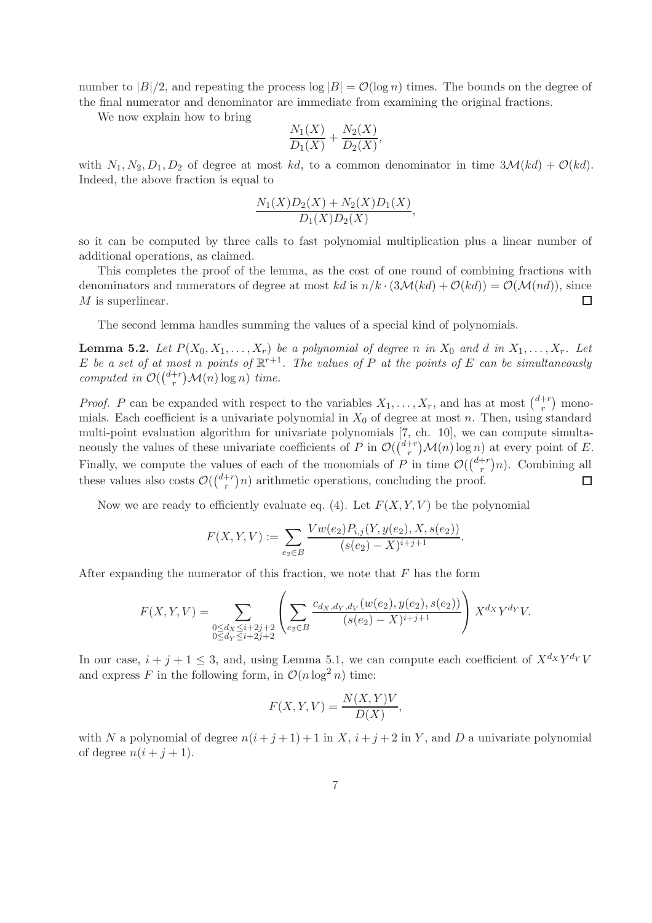number to  $|B|/2$ , and repeating the process  $\log |B| = \mathcal{O}(\log n)$  times. The bounds on the degree of the final numerator and denominator are immediate from examining the original fractions.

We now explain how to bring

$$
\frac{N_1(X)}{D_1(X)} + \frac{N_2(X)}{D_2(X)},
$$

with  $N_1, N_2, D_1, D_2$  of degree at most kd, to a common denominator in time  $3\mathcal{M}(kd) + \mathcal{O}(kd)$ . Indeed, the above fraction is equal to

$$
\frac{N_1(X)D_2(X) + N_2(X)D_1(X)}{D_1(X)D_2(X)},
$$

so it can be computed by three calls to fast polynomial multiplication plus a linear number of additional operations, as claimed.

This completes the proof of the lemma, as the cost of one round of combining fractions with denominators and numerators of degree at most kd is  $n/k \cdot (3\mathcal{M}(kd) + \mathcal{O}(kd)) = \mathcal{O}(\mathcal{M}(nd))$ , since M is superlinear.  $\Box$ 

The second lemma handles summing the values of a special kind of polynomials.

**Lemma 5.2.** Let  $P(X_0, X_1, \ldots, X_r)$  be a polynomial of degree n in  $X_0$  and d in  $X_1, \ldots, X_r$ . Let E be a set of at most n points of  $\mathbb{R}^{r+1}$ . The values of P at the points of E can be simultaneously computed in  $\mathcal{O}(\binom{d+r}{r})$  $r^{+r}_{r}$ ) $\mathcal{M}(n)$  log n) time.

*Proof.* P can be expanded with respect to the variables  $X_1, \ldots, X_r$ , and has at most  $\binom{d+r}{r}$  $\binom{+r}{r}$  monomials. Each coefficient is a univariate polynomial in  $X_0$  of degree at most n. Then, using standard multi-point evaluation algorithm for univariate polynomials [7, ch. 10], we can compute simultaneously the values of these univariate coefficients of P in  $\mathcal{O}(\binom{d+r}{r})$  $r^{+r}$   $\mathcal{M}(n)$  log n) at every point of E. Finally, we compute the values of each of the monomials of P in time  $\mathcal{O}(\binom{d+r}{r})$  $\binom{+r}{r}$ n). Combining all these values also costs  $\mathcal{O}(\binom{d+r}{r}$  $\binom{+r}{r}$  arithmetic operations, concluding the proof.  $\Box$ 

Now we are ready to efficiently evaluate eq. (4). Let  $F(X, Y, V)$  be the polynomial

$$
F(X, Y, V) := \sum_{e_2 \in B} \frac{Vw(e_2)P_{i,j}(Y, y(e_2), X, s(e_2))}{(s(e_2) - X)^{i+j+1}}.
$$

After expanding the numerator of this fraction, we note that  $F$  has the form

$$
F(X,Y,V) = \sum_{\substack{0 \le d_X \le i+2j+2 \\ 0 \le d_Y \le i+2j+2}} \left( \sum_{e_2 \in B} \frac{c_{d_X,d_Y,d_Y}(w(e_2),y(e_2),s(e_2))}{(s(e_2)-X)^{i+j+1}} \right) X^{d_X} Y^{d_Y} V.
$$

In our case,  $i + j + 1 \leq 3$ , and, using Lemma 5.1, we can compute each coefficient of  $X^{d_X}Y^{d_Y}V$ and express F in the following form, in  $\mathcal{O}(n \log^2 n)$  time:

$$
F(X, Y, V) = \frac{N(X, Y)V}{D(X)},
$$

with N a polynomial of degree  $n(i + j + 1) + 1$  in X,  $i + j + 2$  in Y, and D a univariate polynomial of degree  $n(i + j + 1)$ .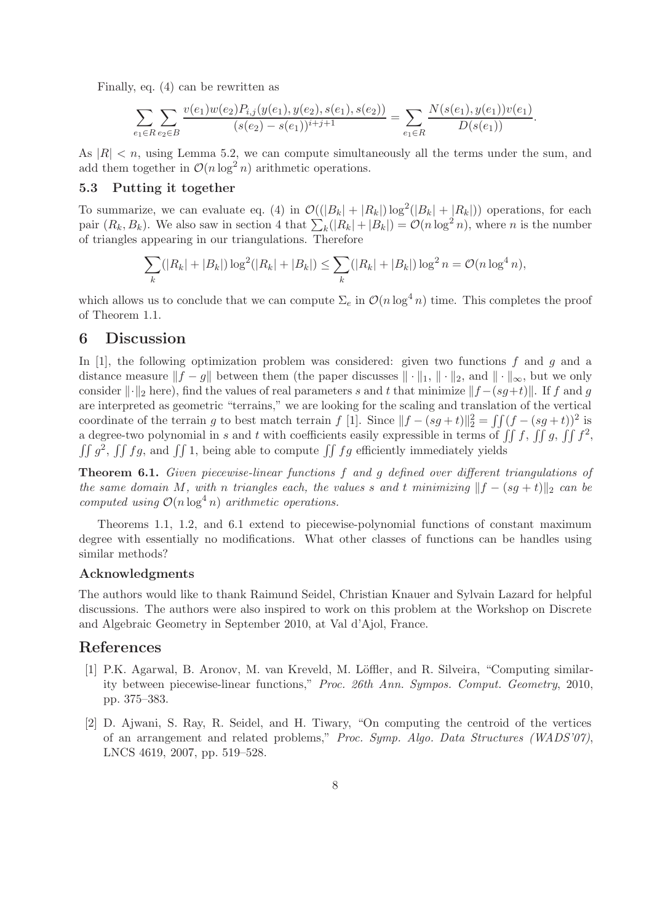Finally, eq. (4) can be rewritten as

$$
\sum_{e_1 \in R} \sum_{e_2 \in B} \frac{v(e_1)w(e_2)P_{i,j}(y(e_1), y(e_2), s(e_1), s(e_2))}{(s(e_2) - s(e_1))^{i+j+1}} = \sum_{e_1 \in R} \frac{N(s(e_1), y(e_1))v(e_1)}{D(s(e_1))}.
$$

As  $|R| < n$ , using Lemma 5.2, we can compute simultaneously all the terms under the sum, and add them together in  $\mathcal{O}(n \log^2 n)$  arithmetic operations.

### 5.3 Putting it together

To summarize, we can evaluate eq. (4) in  $\mathcal{O}(|B_k| + |R_k|) \log^2(|B_k| + |R_k|)$  operations, for each pair  $(R_k, B_k)$ . We also saw in section 4 that  $\sum_k (|R_k| + |B_k|) = O(n \log^2 n)$ , where n is the number of triangles appearing in our triangulations. Therefore

$$
\sum_{k} (|R_k| + |B_k|) \log^2(|R_k| + |B_k|) \le \sum_{k} (|R_k| + |B_k|) \log^2 n = \mathcal{O}(n \log^4 n),
$$

which allows us to conclude that we can compute  $\Sigma_e$  in  $\mathcal{O}(n \log^4 n)$  time. This completes the proof of Theorem 1.1.

### 6 Discussion

In [1], the following optimization problem was considered: given two functions f and g and a distance measure  $||f - g||$  between them (the paper discusses  $|| \cdot ||_1, || \cdot ||_2$ , and  $|| \cdot ||_{\infty}$ , but we only consider  $\|\cdot\|_2$  here), find the values of real parameters s and t that minimize  $\|f - (s q + t)\|$ . If f and g are interpreted as geometric "terrains," we are looking for the scaling and translation of the vertical coordinate of the terrain g to best match terrain f [1]. Since  $||f - (sg + t)||_2^2 = \iint (f - (sg + t))^2$  is a degree-two polynomial in s and t with coefficients easily expressible in terms of  $\iint f$ ,  $\iint g$ ,  $\iint f^2$ ,  $\iint g^2$ ,  $\iint fg$ , and  $\iint 1$ , being able to compute  $\iint fg$  efficiently immediately yields

**Theorem 6.1.** Given piecewise-linear functions f and g defined over different triangulations of the same domain M, with n triangles each, the values s and t minimizing  $||f - (sg + t)||_2$  can be computed using  $O(n \log^4 n)$  arithmetic operations.

Theorems 1.1, 1.2, and 6.1 extend to piecewise-polynomial functions of constant maximum degree with essentially no modifications. What other classes of functions can be handles using similar methods?

### Acknowledgments

The authors would like to thank Raimund Seidel, Christian Knauer and Sylvain Lazard for helpful discussions. The authors were also inspired to work on this problem at the Workshop on Discrete and Algebraic Geometry in September 2010, at Val d'Ajol, France.

# References

- [1] P.K. Agarwal, B. Aronov, M. van Kreveld, M. Löffler, and R. Silveira, "Computing similarity between piecewise-linear functions," Proc. 26th Ann. Sympos. Comput. Geometry, 2010, pp. 375–383.
- [2] D. Ajwani, S. Ray, R. Seidel, and H. Tiwary, "On computing the centroid of the vertices of an arrangement and related problems," Proc. Symp. Algo. Data Structures (WADS'07), LNCS 4619, 2007, pp. 519–528.